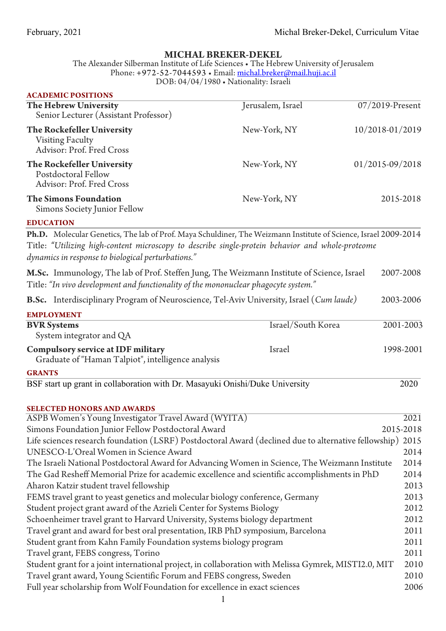## **MICHAL BREKER-DEKEL**

The Alexander Silberman Institute of Life Sciences • The Hebrew University of Jerusalem Phone: +972-52-7044593 • Email: <u>michal.breker@mail.huji.ac.il</u> DOB: 04/04/1980 • Nationality: Israeli

| <b>ACADEMIC POSITIONS</b><br>The Hebrew University<br>Senior Lecturer (Assistant Professor)                                                                                                                                                                               | Jerusalem, Israel  | 07/2019-Present |
|---------------------------------------------------------------------------------------------------------------------------------------------------------------------------------------------------------------------------------------------------------------------------|--------------------|-----------------|
| The Rockefeller University<br><b>Visiting Faculty</b><br>Advisor: Prof. Fred Cross                                                                                                                                                                                        | New-York, NY       | 10/2018-01/2019 |
| The Rockefeller University<br>Postdoctoral Fellow<br>Advisor: Prof. Fred Cross                                                                                                                                                                                            | New-York, NY       | 01/2015-09/2018 |
| <b>The Simons Foundation</b><br>Simons Society Junior Fellow                                                                                                                                                                                                              | New-York, NY       | 2015-2018       |
| <b>EDUCATION</b>                                                                                                                                                                                                                                                          |                    |                 |
| Ph.D. Molecular Genetics, The lab of Prof. Maya Schuldiner, The Weizmann Institute of Science, Israel 2009-2014<br>Title: "Utilizing high-content microscopy to describe single-protein behavior and whole-proteome<br>dynamics in response to biological perturbations." |                    | 2007-2008       |
| M.Sc. Immunology, The lab of Prof. Steffen Jung, The Weizmann Institute of Science, Israel<br>Title: "In vivo development and functionality of the mononuclear phagocyte system."                                                                                         |                    |                 |
| <b>B.Sc.</b> Interdisciplinary Program of Neuroscience, Tel-Aviv University, Israel (Cum laude)                                                                                                                                                                           |                    | 2003-2006       |
| <b>EMPLOYMENT</b>                                                                                                                                                                                                                                                         |                    |                 |
| <b>BVR</b> Systems<br>System integrator and QA                                                                                                                                                                                                                            | Israel/South Korea | 2001-2003       |
| <b>Compulsory service at IDF military</b><br>Graduate of "Haman Talpiot", intelligence analysis                                                                                                                                                                           | Israel             | 1998-2001       |
| <b>GRANTS</b>                                                                                                                                                                                                                                                             |                    |                 |
| BSF start up grant in collaboration with Dr. Masayuki Onishi/Duke University                                                                                                                                                                                              |                    | 2020            |
| <b>SELECTED HONORS AND AWARDS</b>                                                                                                                                                                                                                                         |                    |                 |

| ASPB Women's Young Investigator Travel Award (WYITA)                                                      | $\overline{2021}$ |
|-----------------------------------------------------------------------------------------------------------|-------------------|
| Simons Foundation Junior Fellow Postdoctoral Award<br>2015-2018                                           |                   |
| Life sciences research foundation (LSRF) Postdoctoral Award (declined due to alternative fellowship) 2015 |                   |
| UNESCO-L'Oreal Women in Science Award                                                                     | 2014              |
| The Israeli National Postdoctoral Award for Advancing Women in Science, The Weizmann Institute            | 2014              |
| The Gad Resheff Memorial Prize for academic excellence and scientific accomplishments in PhD              | 2014              |
| Aharon Katzir student travel fellowship                                                                   | 2013              |
| FEMS travel grant to yeast genetics and molecular biology conference, Germany                             | 2013              |
| Student project grant award of the Azrieli Center for Systems Biology                                     | 2012              |
| Schoenheimer travel grant to Harvard University, Systems biology department                               | 2012              |
| Travel grant and award for best oral presentation, IRB PhD symposium, Barcelona                           | 2011              |
| Student grant from Kahn Family Foundation systems biology program                                         | 2011              |
| Travel grant, FEBS congress, Torino                                                                       | 2011              |
| Student grant for a joint international project, in collaboration with Melissa Gymrek, MISTI2.0, MIT      | 2010              |
| Travel grant award, Young Scientific Forum and FEBS congress, Sweden                                      | 2010              |
| Full year scholarship from Wolf Foundation for excellence in exact sciences                               | 2006              |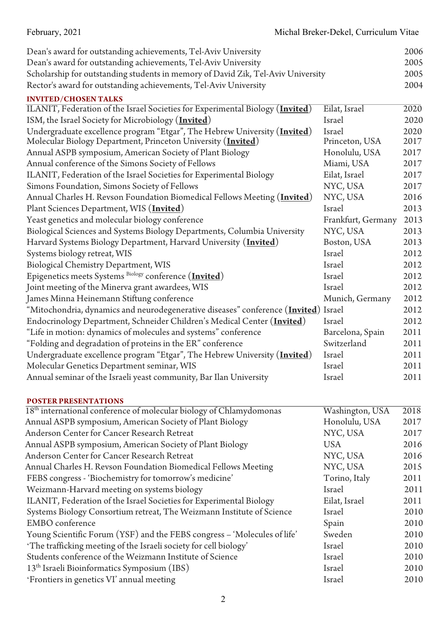| Dean's award for outstanding achievements, Tel-Aviv University                         |                    | 2006              |
|----------------------------------------------------------------------------------------|--------------------|-------------------|
| Dean's award for outstanding achievements, Tel-Aviv University                         |                    | 2005              |
| Scholarship for outstanding students in memory of David Zik, Tel-Aviv University       |                    | 2005              |
| Rector's award for outstanding achievements, Tel-Aviv University                       |                    | 2004              |
| <b>INVITED/CHOSEN TALKS</b>                                                            |                    |                   |
| ILANIT, Federation of the Israel Societies for Experimental Biology ( <i>Invited</i> ) | Eilat, Israel      | 2020              |
| ISM, the Israel Society for Microbiology (Invited)                                     | Israel             | 2020              |
| Undergraduate excellence program "Etgar", The Hebrew University ( <i>Invited</i> )     | Israel             | 2020              |
| Molecular Biology Department, Princeton University ( <i>Invited</i> )                  | Princeton, USA     | 2017              |
| Annual ASPB symposium, American Society of Plant Biology                               | Honolulu, USA      | 2017              |
| Annual conference of the Simons Society of Fellows                                     | Miami, USA         | 2017              |
| ILANIT, Federation of the Israel Societies for Experimental Biology                    | Eilat, Israel      | 2017              |
| Simons Foundation, Simons Society of Fellows                                           | NYC, USA           | 2017              |
| Annual Charles H. Revson Foundation Biomedical Fellows Meeting ( <i>Invited</i> )      | NYC, USA           | 2016              |
| Plant Sciences Department, WIS ( <i>Invited</i> )                                      | Israel             | 2013              |
| Yeast genetics and molecular biology conference                                        | Frankfurt, Germany | 2013              |
| Biological Sciences and Systems Biology Departments, Columbia University               | NYC, USA           | 2013              |
| Harvard Systems Biology Department, Harvard University (Invited)                       | Boston, USA        | 2013              |
| Systems biology retreat, WIS                                                           | Israel             | 2012              |
| Biological Chemistry Department, WIS                                                   | Israel             | 2012              |
| Epigenetics meets Systems Biology conference (Invited)                                 | Israel             | 2012              |
| Joint meeting of the Minerva grant awardees, WIS                                       | Israel             | 2012              |
| James Minna Heinemann Stiftung conference                                              | Munich, Germany    | 2012              |
| "Mitochondria, dynamics and neurodegenerative diseases" conference (Invited) Israel    |                    | 2012              |
| Endocrinology Department, Schneider Children's Medical Center (Invited)                | Israel             | 2012              |
| "Life in motion: dynamics of molecules and systems" conference                         | Barcelona, Spain   | 2011              |
| "Folding and degradation of proteins in the ER" conference                             | Switzerland        | 2011              |
| Undergraduate excellence program "Etgar", The Hebrew University ( <i>Invited</i> )     | Israel             | 2011              |
| Molecular Genetics Department seminar, WIS                                             | Israel             | 2011              |
| Annual seminar of the Israeli yeast community, Bar Ilan University                     | Israel             | 2011              |
|                                                                                        |                    |                   |
| <b>POSTER PRESENTATIONS</b>                                                            |                    |                   |
| 18 <sup>th</sup> international conference of molecular biology of Chlamydomonas        | Washington, USA    | $\overline{2018}$ |
| Annual ASPB symposium, American Society of Plant Biology                               | Honolulu, USA      | 2017              |
| Anderson Center for Cancer Research Retreat                                            | NYC, USA           | 2017              |
| Annual ASPB symposium, American Society of Plant Biology                               | <b>USA</b>         | 2016              |
| Anderson Center for Cancer Research Retreat                                            | NYC, USA           | 2016              |
| Annual Charles H. Revson Foundation Biomedical Fellows Meeting                         | NYC, USA           | 2015              |
| FEBS congress - 'Biochemistry for tomorrow's medicine'                                 | Torino, Italy      | 2011              |
| Weizmann-Harvard meeting on systems biology                                            | Israel             | 2011              |
| ILANIT, Federation of the Israel Societies for Experimental Biology                    | Eilat, Israel      | 2011              |
| Systems Biology Consortium retreat, The Weizmann Institute of Science                  | Israel             | 2010              |
| <b>EMBO</b> conference                                                                 | Spain              | 2010              |
| Young Scientific Forum (YSF) and the FEBS congress - 'Molecules of life'               | Sweden             | 2010              |
| 'The trafficking meeting of the Israeli society for cell biology'                      | Israel             | 2010              |
| Students conference of the Weizmann Institute of Science                               | Israel             | 2010              |
| 13 <sup>th</sup> Israeli Bioinformatics Symposium (IBS)                                | Israel             | 2010              |
| 'Frontiers in genetics VI' annual meeting                                              | Israel             | 2010              |
|                                                                                        |                    |                   |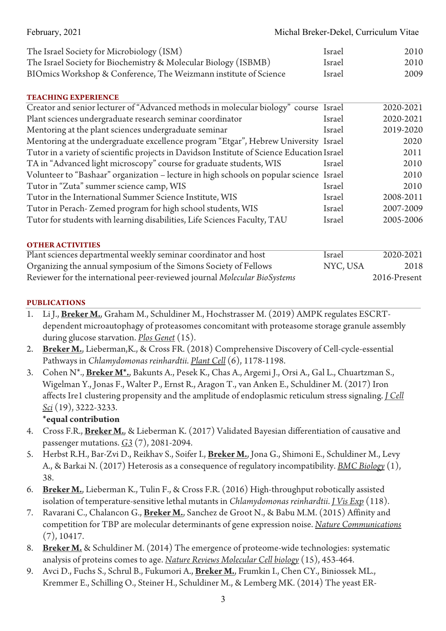| February, 2021                                                   | Michal Breker-Dekel, Curriculum Vitae |      |
|------------------------------------------------------------------|---------------------------------------|------|
| The Israel Society for Microbiology (ISM)                        | Israel                                | 2010 |
| The Israel Society for Biochemistry & Molecular Biology (ISBMB)  | Israel                                | 2010 |
| BIOmics Workshop & Conference, The Weizmann institute of Science | Israel                                | 2009 |

### **TEACHING EXPERIENCE**

| Creator and senior lecturer of "Advanced methods in molecular biology" course Israel        |        | 2020-2021 |
|---------------------------------------------------------------------------------------------|--------|-----------|
| Plant sciences undergraduate research seminar coordinator                                   | Israel | 2020-2021 |
| Mentoring at the plant sciences undergraduate seminar                                       | Israel | 2019-2020 |
| Mentoring at the undergraduate excellence program "Etgar", Hebrew University Israel         |        | 2020      |
| Tutor in a variety of scientific projects in Davidson Institute of Science Education Israel |        | 2011      |
| TA in "Advanced light microscopy" course for graduate students, WIS                         | Israel | 2010      |
| Volunteer to "Bashaar" organization - lecture in high schools on popular science Israel     |        | 2010      |
| Tutor in "Zuta" summer science camp, WIS                                                    | Israel | 2010      |
| Tutor in the International Summer Science Institute, WIS                                    | Israel | 2008-2011 |
| Tutor in Perach-Zemed program for high school students, WIS                                 | Israel | 2007-2009 |
| Tutor for students with learning disabilities, Life Sciences Faculty, TAU                   | Israel | 2005-2006 |
|                                                                                             |        |           |

#### **OTHER ACTIVITIES**

| Plant sciences departmental weekly seminar coordinator and host           | Israel   | 2020-2021    |
|---------------------------------------------------------------------------|----------|--------------|
| Organizing the annual symposium of the Simons Society of Fellows          | NYC, USA | 2018         |
| Reviewer for the international peer-reviewed journal Molecular BioSystems |          | 2016-Present |

#### **PUBLICATIONS**

- 1. Li J., **Breker M.**, Graham M., Schuldiner M., Hochstrasser M. (2019) AMPK regulates ESCRTdependent microautophagy of proteasomes concomitant with proteasome storage granule assembly during glucose starvation. *Plos Genet* (15).
- 2. **Breker M.**, Lieberman,K., & Cross FR. (2018) Comprehensive Discovery of Cell-cycle-essential Pathways in *Chlamydomonas reinhardtii*. *Plant Cell* (6), 1178-1198.
- 3. Cohen N\*., **Breker M\*.**, Bakunts A., Pesek K., Chas A., Argemi J., Orsi A., Gal L., Chuartzman S., Wigelman Y., Jonas F., Walter P., Ernst R., Aragon T., van Anken E., Schuldiner M. (2017) Iron affects Ire1 clustering propensity and the amplitude of endoplasmic reticulum stress signaling. *J Cell Sci* (19), 3222-3233.

**\*equal contribution**

- 4. Cross F.R., **Breker M.**, & Lieberman K. (2017) Validated Bayesian differentiation of causative and passenger mutations. *G3* (7), 2081-2094.
- 5. Herbst R.H., Bar-Zvi D., Reikhav S., Soifer I., **Breker M.**, Jona G., Shimoni E., Schuldiner M., Levy A., & Barkai N. (2017) Heterosis as a consequence of regulatory incompatibility. *BMC Biology* (1), 38.
- 6. **Breker M.**, Lieberman K., Tulin F., & Cross F.R. (2016) High-throughput robotically assisted isolation of temperature-sensitive lethal mutants in *Chlamydomonas reinhardtii*. *J Vis Exp* (118).
- 7. Ravarani C., Chalancon G., **Breker M.**, Sanchez de Groot N., & Babu M.M. (2015) Affinity and competition for TBP are molecular determinants of gene expression noise. *Nature Communications* (7), 10417.
- 8. **Breker M.** & Schuldiner M. (2014) The emergence of proteome-wide technologies: systematic analysis of proteins comes to age. *Nature Reviews Molecular Cell biology* (15), 453-464.
- 9. Avci D., Fuchs S., Schrul B., Fukumori A., **Breker M.**, Frumkin I., Chen CY., Biniossek ML., Kremmer E., Schilling O., Steiner H., Schuldiner M., & Lemberg MK. (2014) The yeast ER-